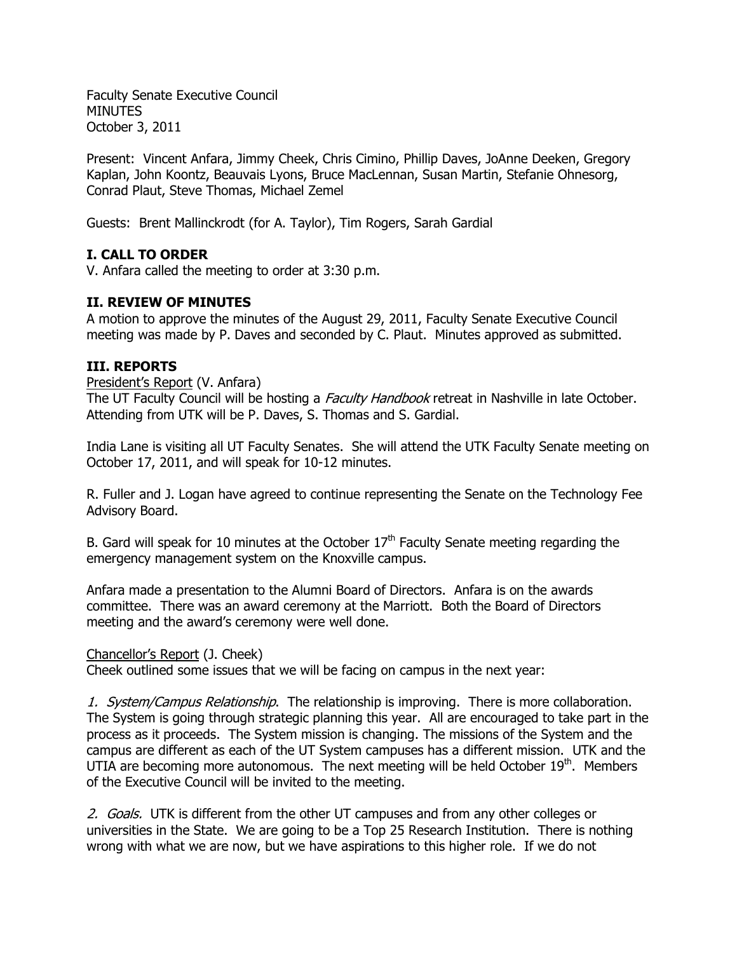Faculty Senate Executive Council MINUTES October 3, 2011

Present: Vincent Anfara, Jimmy Cheek, Chris Cimino, Phillip Daves, JoAnne Deeken, Gregory Kaplan, John Koontz, Beauvais Lyons, Bruce MacLennan, Susan Martin, Stefanie Ohnesorg, Conrad Plaut, Steve Thomas, Michael Zemel

Guests: Brent Mallinckrodt (for A. Taylor), Tim Rogers, Sarah Gardial

## **I. CALL TO ORDER**

V. Anfara called the meeting to order at 3:30 p.m.

### **II. REVIEW OF MINUTES**

A motion to approve the minutes of the August 29, 2011, Faculty Senate Executive Council meeting was made by P. Daves and seconded by C. Plaut. Minutes approved as submitted.

### **III. REPORTS**

#### President's Report (V. Anfara)

The UT Faculty Council will be hosting a *Faculty Handbook* retreat in Nashville in late October. Attending from UTK will be P. Daves, S. Thomas and S. Gardial.

India Lane is visiting all UT Faculty Senates. She will attend the UTK Faculty Senate meeting on October 17, 2011, and will speak for 10-12 minutes.

R. Fuller and J. Logan have agreed to continue representing the Senate on the Technology Fee Advisory Board.

B. Gard will speak for 10 minutes at the October  $17<sup>th</sup>$  Faculty Senate meeting regarding the emergency management system on the Knoxville campus.

Anfara made a presentation to the Alumni Board of Directors. Anfara is on the awards committee. There was an award ceremony at the Marriott. Both the Board of Directors meeting and the award's ceremony were well done.

### Chancellor's Report (J. Cheek)

Cheek outlined some issues that we will be facing on campus in the next year:

1. System/Campus Relationship. The relationship is improving. There is more collaboration. The System is going through strategic planning this year. All are encouraged to take part in the process as it proceeds. The System mission is changing. The missions of the System and the campus are different as each of the UT System campuses has a different mission. UTK and the UTIA are becoming more autonomous. The next meeting will be held October  $19<sup>th</sup>$ . Members of the Executive Council will be invited to the meeting.

2. Goals. UTK is different from the other UT campuses and from any other colleges or universities in the State. We are going to be a Top 25 Research Institution. There is nothing wrong with what we are now, but we have aspirations to this higher role. If we do not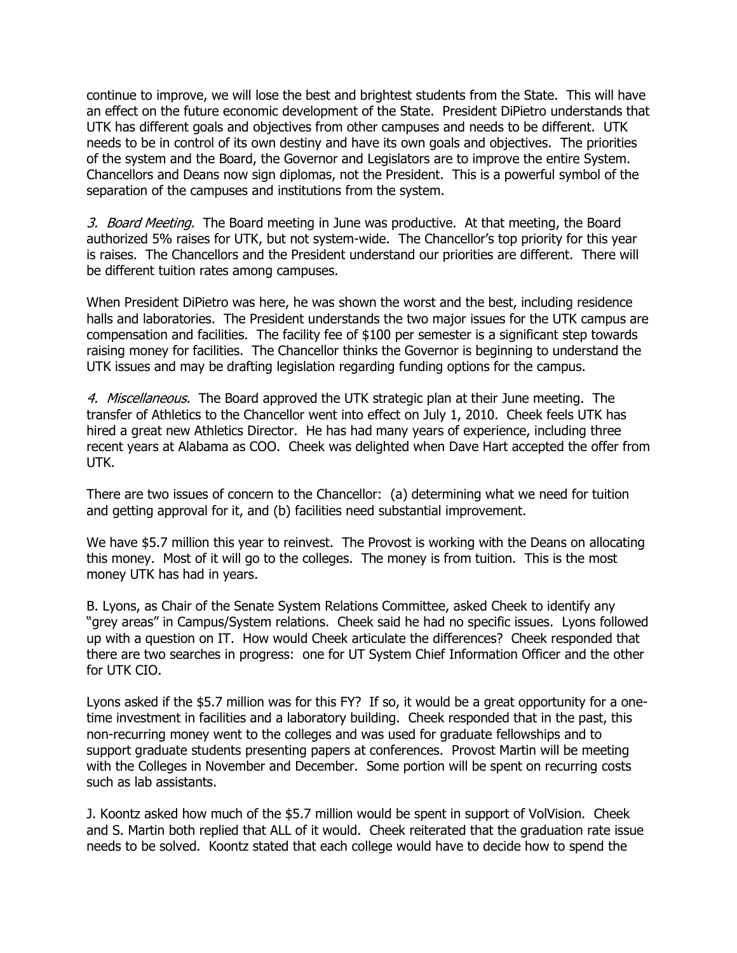continue to improve, we will lose the best and brightest students from the State. This will have an effect on the future economic development of the State. President DiPietro understands that UTK has different goals and objectives from other campuses and needs to be different. UTK needs to be in control of its own destiny and have its own goals and objectives. The priorities of the system and the Board, the Governor and Legislators are to improve the entire System. Chancellors and Deans now sign diplomas, not the President. This is a powerful symbol of the separation of the campuses and institutions from the system.

3. Board Meeting. The Board meeting in June was productive. At that meeting, the Board authorized 5% raises for UTK, but not system-wide. The Chancellor's top priority for this year is raises. The Chancellors and the President understand our priorities are different. There will be different tuition rates among campuses.

When President DiPietro was here, he was shown the worst and the best, including residence halls and laboratories. The President understands the two major issues for the UTK campus are compensation and facilities. The facility fee of \$100 per semester is a significant step towards raising money for facilities. The Chancellor thinks the Governor is beginning to understand the UTK issues and may be drafting legislation regarding funding options for the campus.

4. Miscellaneous. The Board approved the UTK strategic plan at their June meeting. The transfer of Athletics to the Chancellor went into effect on July 1, 2010. Cheek feels UTK has hired a great new Athletics Director. He has had many years of experience, including three recent years at Alabama as COO. Cheek was delighted when Dave Hart accepted the offer from UTK.

There are two issues of concern to the Chancellor: (a) determining what we need for tuition and getting approval for it, and (b) facilities need substantial improvement.

We have \$5.7 million this year to reinvest. The Provost is working with the Deans on allocating this money. Most of it will go to the colleges. The money is from tuition. This is the most money UTK has had in years.

B. Lyons, as Chair of the Senate System Relations Committee, asked Cheek to identify any "grey areas" in Campus/System relations. Cheek said he had no specific issues. Lyons followed up with a question on IT. How would Cheek articulate the differences? Cheek responded that there are two searches in progress: one for UT System Chief Information Officer and the other for UTK CIO.

Lyons asked if the \$5.7 million was for this FY? If so, it would be a great opportunity for a onetime investment in facilities and a laboratory building. Cheek responded that in the past, this non-recurring money went to the colleges and was used for graduate fellowships and to support graduate students presenting papers at conferences. Provost Martin will be meeting with the Colleges in November and December. Some portion will be spent on recurring costs such as lab assistants.

J. Koontz asked how much of the \$5.7 million would be spent in support of VolVision. Cheek and S. Martin both replied that ALL of it would. Cheek reiterated that the graduation rate issue needs to be solved. Koontz stated that each college would have to decide how to spend the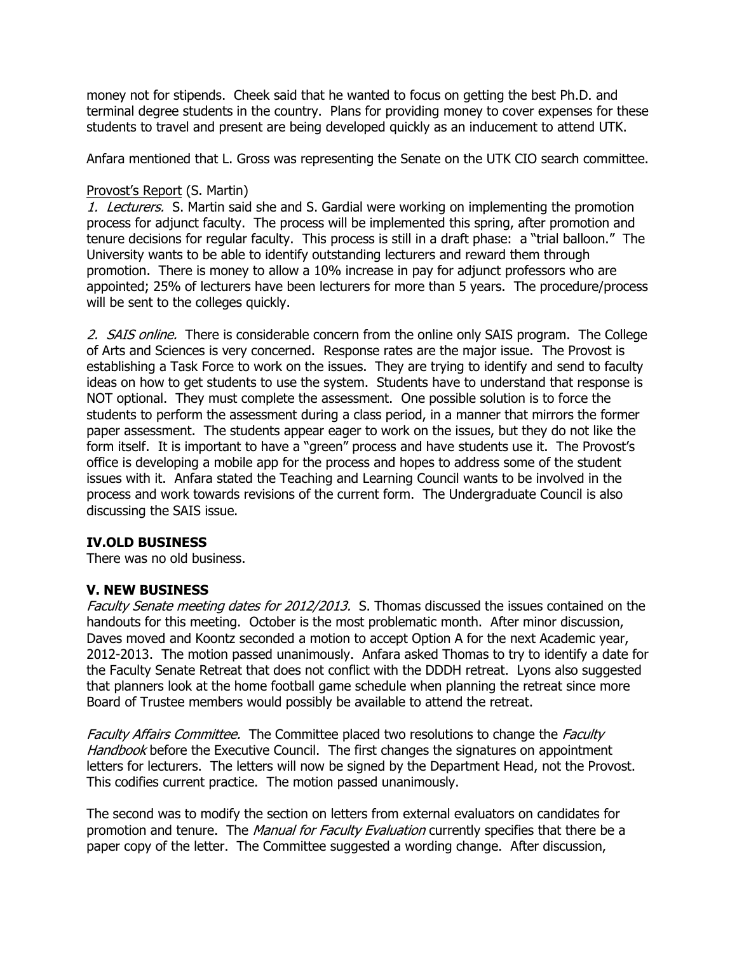money not for stipends. Cheek said that he wanted to focus on getting the best Ph.D. and terminal degree students in the country. Plans for providing money to cover expenses for these students to travel and present are being developed quickly as an inducement to attend UTK.

Anfara mentioned that L. Gross was representing the Senate on the UTK CIO search committee.

## Provost's Report (S. Martin)

1. Lecturers. S. Martin said she and S. Gardial were working on implementing the promotion process for adjunct faculty. The process will be implemented this spring, after promotion and tenure decisions for regular faculty. This process is still in a draft phase: a "trial balloon." The University wants to be able to identify outstanding lecturers and reward them through promotion. There is money to allow a 10% increase in pay for adjunct professors who are appointed; 25% of lecturers have been lecturers for more than 5 years. The procedure/process will be sent to the colleges quickly.

2. SAIS online. There is considerable concern from the online only SAIS program. The College of Arts and Sciences is very concerned. Response rates are the major issue. The Provost is establishing a Task Force to work on the issues. They are trying to identify and send to faculty ideas on how to get students to use the system. Students have to understand that response is NOT optional. They must complete the assessment. One possible solution is to force the students to perform the assessment during a class period, in a manner that mirrors the former paper assessment. The students appear eager to work on the issues, but they do not like the form itself. It is important to have a "green" process and have students use it. The Provost's office is developing a mobile app for the process and hopes to address some of the student issues with it. Anfara stated the Teaching and Learning Council wants to be involved in the process and work towards revisions of the current form. The Undergraduate Council is also discussing the SAIS issue.

# **IV.OLD BUSINESS**

There was no old business.

# **V. NEW BUSINESS**

Faculty Senate meeting dates for 2012/2013. S. Thomas discussed the issues contained on the handouts for this meeting. October is the most problematic month. After minor discussion, Daves moved and Koontz seconded a motion to accept Option A for the next Academic year, 2012-2013. The motion passed unanimously. Anfara asked Thomas to try to identify a date for the Faculty Senate Retreat that does not conflict with the DDDH retreat. Lyons also suggested that planners look at the home football game schedule when planning the retreat since more Board of Trustee members would possibly be available to attend the retreat.

Faculty Affairs Committee. The Committee placed two resolutions to change the Faculty Handbook before the Executive Council. The first changes the signatures on appointment letters for lecturers. The letters will now be signed by the Department Head, not the Provost. This codifies current practice. The motion passed unanimously.

The second was to modify the section on letters from external evaluators on candidates for promotion and tenure. The *Manual for Faculty Evaluation* currently specifies that there be a paper copy of the letter. The Committee suggested a wording change. After discussion,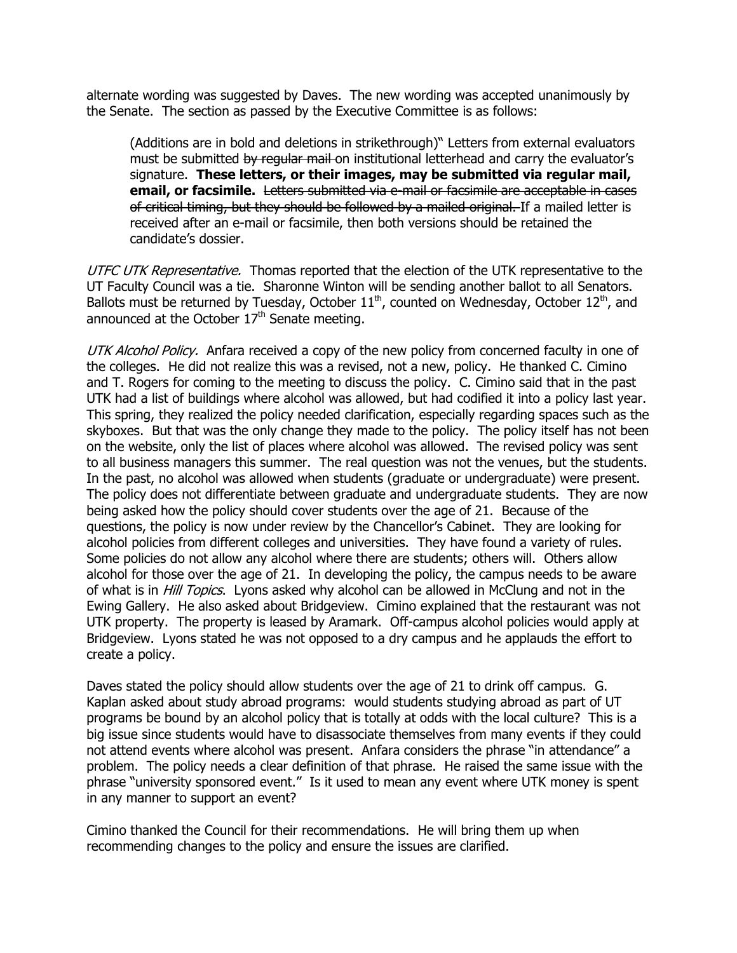alternate wording was suggested by Daves. The new wording was accepted unanimously by the Senate. The section as passed by the Executive Committee is as follows:

(Additions are in bold and deletions in strikethrough)" Letters from external evaluators must be submitted by regular mail on institutional letterhead and carry the evaluator's signature. **These letters, or their images, may be submitted via regular mail, email, or facsimile.** Letters submitted via e-mail or facsimile are acceptable in cases of critical timing, but they should be followed by a mailed original. If a mailed letter is received after an e-mail or facsimile, then both versions should be retained the candidate's dossier.

UTFC UTK Representative. Thomas reported that the election of the UTK representative to the UT Faculty Council was a tie. Sharonne Winton will be sending another ballot to all Senators. Ballots must be returned by Tuesday, October  $11^{th}$ , counted on Wednesday, October  $12^{th}$ , and announced at the October  $17<sup>th</sup>$  Senate meeting.

UTK Alcohol Policy. Anfara received a copy of the new policy from concerned faculty in one of the colleges. He did not realize this was a revised, not a new, policy. He thanked C. Cimino and T. Rogers for coming to the meeting to discuss the policy. C. Cimino said that in the past UTK had a list of buildings where alcohol was allowed, but had codified it into a policy last year. This spring, they realized the policy needed clarification, especially regarding spaces such as the skyboxes. But that was the only change they made to the policy. The policy itself has not been on the website, only the list of places where alcohol was allowed. The revised policy was sent to all business managers this summer. The real question was not the venues, but the students. In the past, no alcohol was allowed when students (graduate or undergraduate) were present. The policy does not differentiate between graduate and undergraduate students. They are now being asked how the policy should cover students over the age of 21. Because of the questions, the policy is now under review by the Chancellor's Cabinet. They are looking for alcohol policies from different colleges and universities. They have found a variety of rules. Some policies do not allow any alcohol where there are students; others will. Others allow alcohol for those over the age of 21. In developing the policy, the campus needs to be aware of what is in *Hill Topics*. Lyons asked why alcohol can be allowed in McClung and not in the Ewing Gallery. He also asked about Bridgeview. Cimino explained that the restaurant was not UTK property. The property is leased by Aramark. Off-campus alcohol policies would apply at Bridgeview. Lyons stated he was not opposed to a dry campus and he applauds the effort to create a policy.

Daves stated the policy should allow students over the age of 21 to drink off campus. G. Kaplan asked about study abroad programs: would students studying abroad as part of UT programs be bound by an alcohol policy that is totally at odds with the local culture? This is a big issue since students would have to disassociate themselves from many events if they could not attend events where alcohol was present. Anfara considers the phrase "in attendance" a problem. The policy needs a clear definition of that phrase. He raised the same issue with the phrase "university sponsored event." Is it used to mean any event where UTK money is spent in any manner to support an event?

Cimino thanked the Council for their recommendations. He will bring them up when recommending changes to the policy and ensure the issues are clarified.